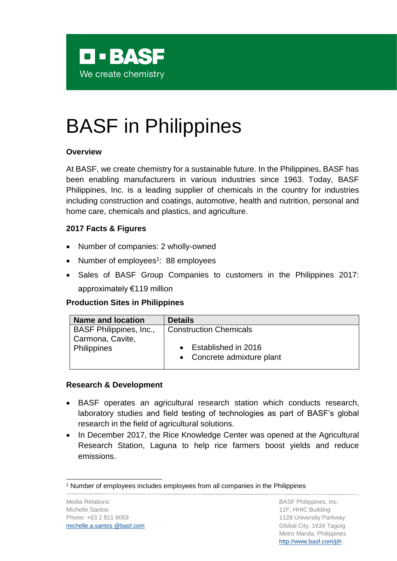

# BASF in Philippines

### **Overview**

At BASF, we create chemistry for a sustainable future. In the Philippines, BASF has been enabling manufacturers in various industries since 1963. Today, BASF Philippines, Inc. is a leading supplier of chemicals in the country for industries including construction and coatings, automotive, health and nutrition, personal and home care, chemicals and plastics, and agriculture.

## **2017 Facts & Figures**

- Number of companies: 2 wholly-owned
- Number of employees<sup>1</sup>: 88 employees
- Sales of BASF Group Companies to customers in the Philippines 2017: approximately €119 million

#### **Production Sites in Philippines**

| <b>Name and location</b>        | <b>Details</b>                                      |
|---------------------------------|-----------------------------------------------------|
| BASF Philippines, Inc.,         | <b>Construction Chemicals</b>                       |
| Carmona, Cavite,<br>Philippines | • Established in 2016<br>• Concrete admixture plant |

#### **Research & Development**

- BASF operates an agricultural research station which conducts research, laboratory studies and field testing of technologies as part of BASF's global research in the field of agricultural solutions.
- In December 2017, the Rice Knowledge Center was opened at the Agricultural Research Station, Laguna to help rice farmers boost yields and reduce emissions.

l <sup>1</sup> Number of employees includes employees from all companies in the Philippines